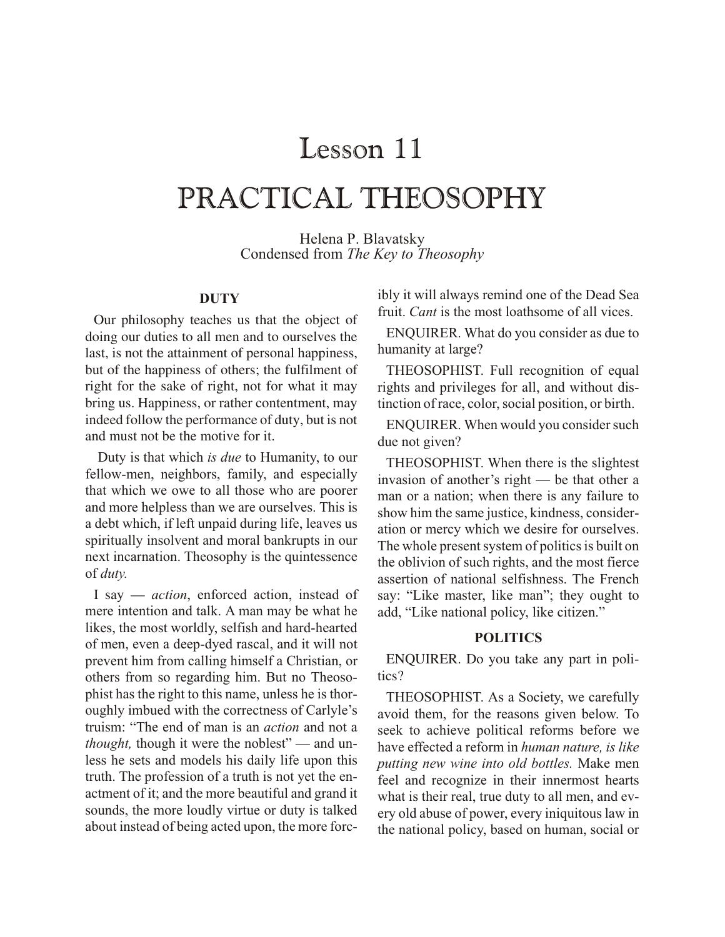# Lesson 11

# PRACTICAL THEOSOPHY

Helena P. Blavatsky Condensed from *The Key to Theosophy*

### **DUTY**

Our philosophy teaches us that the object of doing our duties to all men and to ourselves the last, is not the attainment of personal happiness, but of the happiness of others; the fulfilment of right for the sake of right, not for what it may bring us. Happiness, or rather contentment, may indeed follow the performance of duty, but is not and must not be the motive for it.

Duty is that which *is due* to Humanity, to our fellow-men, neighbors, family, and especially that which we owe to all those who are poorer and more helpless than we are ourselves. This is a debt which, if left unpaid during life, leaves us spiritually insolvent and moral bankrupts in our next incarnation. The osophy is the quin tessence of *duty.*

I say *— action*, enforced action, instead of mere intention and talk. A man may be what he likes, the most worldly, selfish and hard-hearted of men, even a deep-dyed rascal, and it will not prevent him from calling himself a Christian, or others from so regarding him. But no Theosophist has the right to this name, unless he is thoroughly imbued with the correctness of Carlyle's truism: "The end of man is an *action* and not a *thought*, though it were the noblest" — and unless he sets and models his daily life upon this truth. The profession of a truth is not yet the enactment of it; and the more beautiful and grand it sounds, the more loudly virtue or duty is talked about instead of being acted upon, the more forcibly it will always remind one of the Dead Sea fruit. *Cant* is the most loathsome of all vices.

ENQUIRER. What do you consider as due to humanity at large?

THEOSOPHIST. Full recognition of equal rights and privileges for all, and without distinction of race, color, social position, or birth.

ENQUIRER. When would you consider such due not given?

THEOSOPHIST. When there is the slightest invasion of another's right  $-$  be that other a man or a nation; when there is any failure to show him the same justice, kindness, consideration or mercy which we desire for ourselves. The whole present system of politics is built on the oblivion of such rights, and the most fierce assertion of national selfishness. The French say: "Like master, like man"; they ought to add, "Like national policy, like citizen."

#### **POLITICS**

ENQUIRER. Do you take any part in politics?

THEOSOPHIST. As a Society, we carefully avoid them, for the reasons given below. To seek to achieve political reforms before we have effected a reform in *human nature, is like putt ing new wine into old bottles.* Make men feel and recognize in their innermost hearts what is their real, true duty to all men, and every old abuse of power, every iniquitous law in the national policy, based on human, social or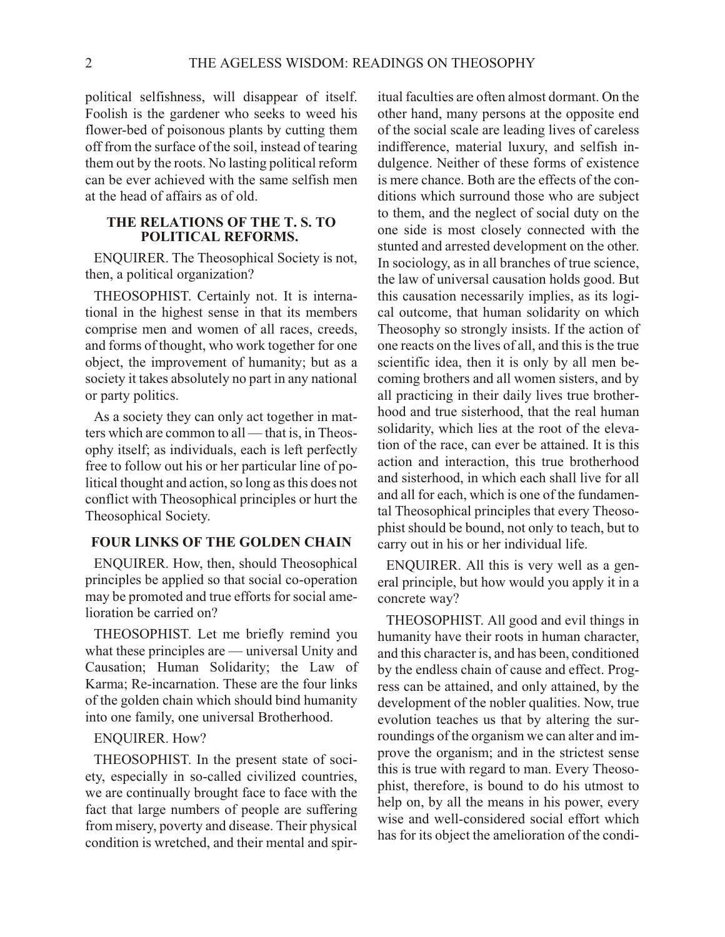political selfishness, will disappear of itself. Foolish is the gardener who seeks to weed his flower-bed of poisonous plants by cutting them off from the surface of the soil, instead of tearing them out by the roots. No lasting political reform can be ever achieved with the same selfish men at the head of affairs as of old.

### **THE RELATIONS OF THE T. S. TO POLITICAL REFORMS.**

ENQUIRER. The Theosophical Society is not, then, a political organization?

THEOSOPHIST. Certainly not. It is international in the highest sense in that its members comprise men and women of all races, creeds, and forms of thought, who work together for one object, the improvement of humanity; but as a society it takes absolutely no part in any national or party politics.

As a society they can only act together in matters which are common to all — that is, in Theosophy itself; as individuals, each is left perfectly free to follow out his or her particular line of political thought and action, so long as this does not conflict with Theosophical principles or hurt the Theosophical Society.

# **FOUR LINKS OF THE GOLDEN CHAIN**

ENQUIRER. How, then, should Theosophical principles be applied so that social co-operation may be promoted and true efforts for social amelioration be carried on?

THEOSOPHIST. Let me briefly remind you what these principles are — universal Unity and Causation; Human Solidarity; the Law of Karma; Re-incarnation. These are the four links of the golden chain which should bind humanity into one family, one universal Brotherhood.

## ENQUIRER. How?

THEOSOPHIST. In the present state of society, especially in so-called civilized countries, we are continually brought face to face with the fact that large numbers of people are suffering from misery, poverty and disease. Their physical condition is wretched, and their mental and spir-

itual faculties are often almost dormant. On the other hand, many persons at the opposite end of the social scale are leading lives of careless indifference, material luxury, and selfish indulgence. Neither of these forms of existence is mere chance. Both are the effects of the conditions which surround those who are subject to them, and the neglect of social duty on the one side is most closely con nected with the stunted and arrested development on the other. In sociology, as in all branches of true science, the law of universal causation holds good. But this causation necessarily implies, as its logical outcome, that human solidarity on which The osophy so strongly insists. If the action of one re acts on the lives of all, and this is the true scientific idea, then it is only by all men becoming brothers and all women sisters, and by all practicing in their daily lives true brotherhood and true sisterhood, that the real human solidarity, which lies at the root of the elevation of the race, can ever be attained. It is this action and interaction, this true brotherhood and sisterhood, in which each shall live for all and all for each, which is one of the fundamental Theosophical principles that every Theosophist should be bound, not only to teach, but to carry out in his or her individual life.

ENQUIRER. All this is very well as a general principle, but how would you apply it in a concrete way?

THEOSOPHIST. All good and evil things in humanity have their roots in human character, and this character is, and has been, conditioned by the endless chain of cause and effect. Progress can be attained, and only attained, by the development of the nobler qualities. Now, true evolution teaches us that by altering the surroundings of the organism we can alter and improve the organism; and in the strictest sense this is true with regard to man. Every Theosophist, therefore, is bound to do his utmost to help on, by all the means in his power, every wise and well-considered social effort which has for its object the amelioration of the condi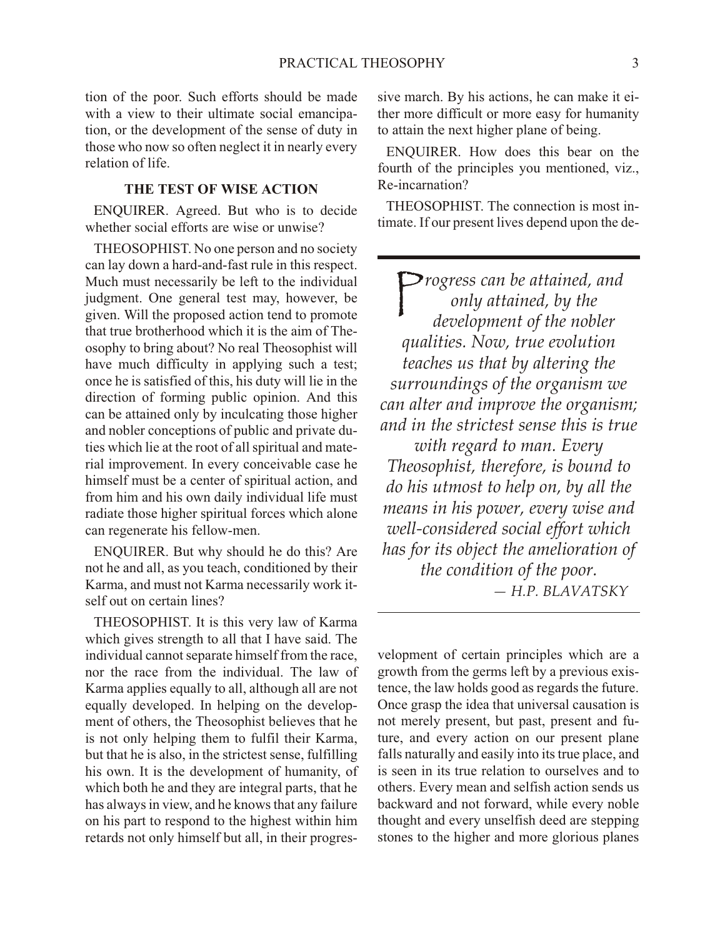tion of the poor. Such efforts should be made with a view to their ultimate social emancipation, or the development of the sense of duty in those who now so often neglect it in nearly every relation of life.

# **THE TEST OF WISE ACTION**

ENQUIRER. Agreed. But who is to decide whether social efforts are wise or unwise?

THEOSOPHIST. No one person and no society can lay down a hard-and-fast rule in this respect. Much must necessarily be left to the individual judgment. One general test may, however, be given. Will the proposed action tend to promote that true brotherhood which it is the aim of Theosophy to bring about? No real Theosophist will have much difficulty in applying such a test; once he is satisfied of this, his duty will lie in the direction of forming public opinion. And this can be attained only by inculcating those higher and nobler conceptions of public and private duties which lie at the root of all spiritual and material improvement. In every conceivable case he himself must be a center of spiritual action, and from him and his own daily individual life must radiate those higher spiritual forces which alone can regenerate his fellow-men.

ENQUIRER. But why should he do this? Are not he and all, as you teach, conditioned by their Karma, and must not Karma necessarily work itself out on certain lines?

THEOSOPHIST. It is this very law of Karma which gives strength to all that I have said. The individual cannot separate himself from the race, nor the race from the individual. The law of Karma applies equally to all, although all are not equally developed. In helping on the development of others, the Theosophist believes that he is not only helping them to fulfil their Karma, but that he is also, in the strictest sense, fulfilling his own. It is the development of humanity, of which both he and they are integral parts, that he has always in view, and he knows that any failure on his part to respond to the highest within him retards not only himself but all, in their progressive march. By his actions, he can make it either more difficult or more easy for humanity to attain the next higher plane of being.

ENQUIRER. How does this bear on the fourth of the principles you mentioned, viz., Re-incarnation?

THEOSOPHIST. The connection is most intimate. If our present lives depend upon the de-

Progress can be attained, and<br>only attained, by the<br>development of the nobler *only at tained, by the de vel op ment of the no bler qual i ties. Now, true evo lu tion teaches us that by altering the sur round ings of the or gan ism we can alter and improve the organism; and in the strictest sense this is true with regard to man. Every The os o phist, there fore, is bound to do his ut most to help on, by all the means in his power, every wise and well-considered social ef fort which has for its ob ject the ame lio ra tion of the condition of the poor. — H.P. BLAVATSKY*

velopment of certain principles which are a growth from the germs left by a previous existence, the law holds good as regards the future. Once grasp the idea that universal causation is not merely present, but past, present and future, and every action on our present plane falls naturally and easily into its true place, and is seen in its true relation to ourselves and to others. Every mean and selfish action sends us backward and not forward, while every noble thought and every unselfish deed are stepping stones to the higher and more glorious planes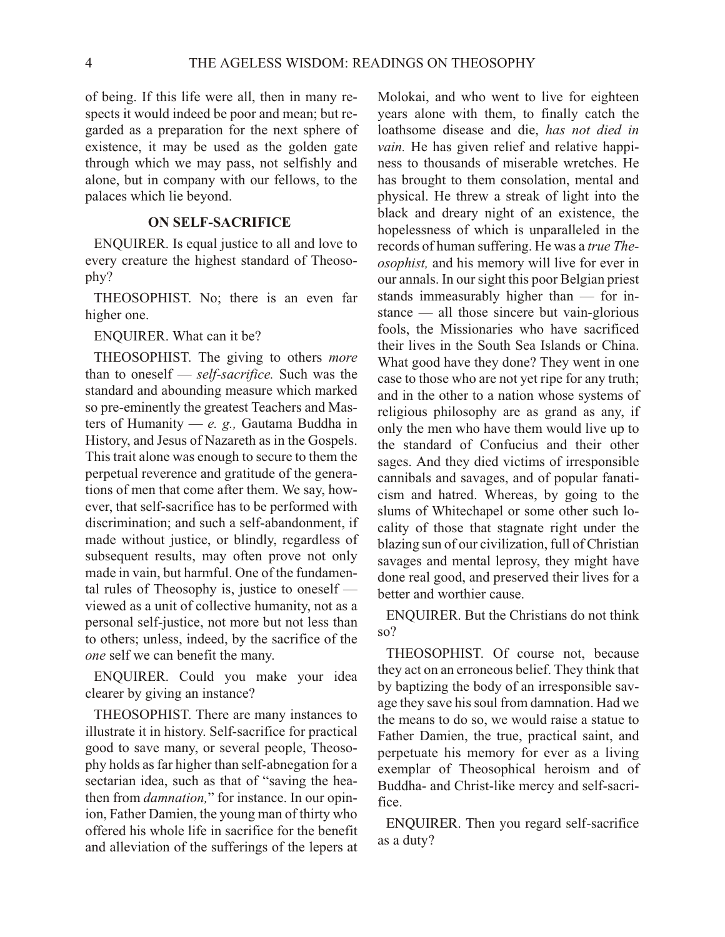of being. If this life were all, then in many respects it would indeed be poor and mean; but regarded as a preparation for the next sphere of existence, it may be used as the golden gate through which we may pass, not selfishly and alone, but in company with our fellows, to the palaces which lie beyond.

# **ON SELF-SACRIFICE**

ENQUIRER. Is equal justice to all and love to every creature the highest standard of Theosophy?

THEOSOPHIST. No; there is an even far higher one.

ENQUIRER. What can it be?

THEOSOPHIST. The giving to others *more* than to oneself - self-sacrifice. Such was the standard and abounding measure which marked so pre-eminently the greatest Teachers and Masters of Humanity — *e. g.*, Gautama Buddha in History, and Jesus of Nazareth as in the Gospels. This trait alone was enough to secure to them the perpetual reverence and gratitude of the generations of men that come after them. We say, however, that self-sacrifice has to be performed with discrimination; and such a self-abandonment, if made without justice, or blindly, regardless of subsequent results, may often prove not only made in vain, but harm ful. One of the fundamental rules of Theosophy is, justice to oneself viewed as a unit of collective humanity, not as a personal self-justice, not more but not less than to others; unless, indeed, by the sacrifice of the *one* self we can benefit the many.

ENQUIRER. Could you make your idea clearer by giving an instance?

THEOSOPHIST. There are many instances to illustrate it in history. Self-sacrifice for practical good to save many, or several people, Theosophy holds as far higher than self-abnegation for a sectarian idea, such as that of "saving the heathen from *damnation*," for instance. In our opinion, Father Damien, the young man of thirty who offered his whole life in sacrifice for the benefit and alleviation of the sufferings of the lepers at

Molokai, and who went to live for eighteen years alone with them, to finally catch the loathsome disease and die, has not died in *vain*. He has given relief and relative happiness to thousands of miserable wretches. He has brought to them consolation, mental and physical. He threw a streak of light into the black and dreary night of an existence, the hopelessness of which is unparalleled in the records of human suffering. He was a *true Theosophist*, and his memory will live for ever in our annals. In our sight this poor Belgian priest stands immeasurably higher than  $-$  for instance  $-$  all those sincere but vain-glorious fools, the Missionaries who have sacrificed their lives in the South Sea Islands or China. What good have they done? They went in one case to those who are not yet ripe for any truth; and in the other to a nation whose systems of religious philosophy are as grand as any, if only the men who have them would live up to the standard of Confucius and their other sages. And they died victims of irresponsible cannibals and savages, and of popular fanaticism and hatred. Whereas, by going to the slums of White chapel or some other such locality of those that stagnate right under the blazing sun of our civilization, full of Christian savages and mental leprosy, they might have done real good, and preserved their lives for a better and worthier cause.

ENQUIRER. But the Christians do not think so?

THEOSOPHIST. Of course not, because they act on an erroneous belief. They think that by baptizing the body of an irresponsible savage they save his soul from damnation. Had we the means to do so, we would raise a statue to Father Damien, the true, practical saint, and perpetuate his memory for ever as a living exemplar of Theosophical heroism and of Buddha- and Christ-like mercy and self-sacrifice.

ENQUIRER. Then you regard self-sacrifice as a duty?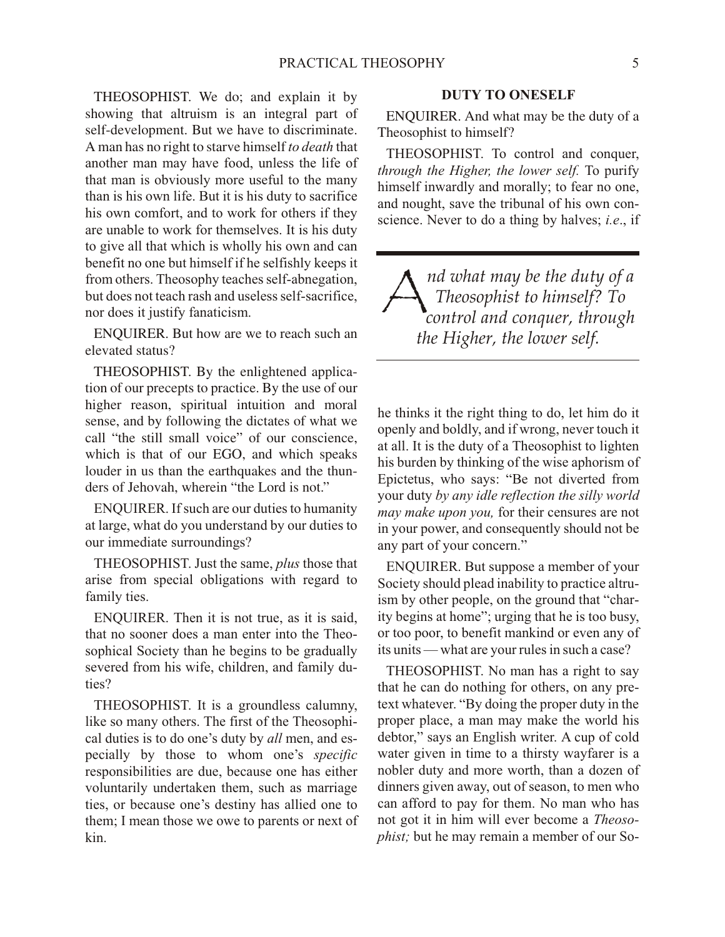THEOSOPHIST. We do; and explain it by showing that altruism is an integral part of self-development. But we have to discriminate. A man has no right to starve him self *to death* that another man may have food, unless the life of that man is obviously more useful to the many than is his own life. But it is his duty to sacrifice his own comfort, and to work for others if they are unable to work for themselves. It is his duty to give all that which is wholly his own and can benefit no one but himself if he selfishly keeps it from others. The osophy teaches self-abnegation, but does not teach rash and useless self-sacrifice, nor does it justify fanaticism.

ENQUIRER. But how are we to reach such an elevated status?

THEOSOPHIST. By the enlightened application of our precepts to practice. By the use of our higher reason, spiritual intuition and moral sense, and by following the dictates of what we call "the still small voice" of our conscience, which is that of our EGO, and which speaks louder in us than the earthquakes and the thunders of Jehovah, wherein "the Lord is not."

ENQUIRER. If such are our duties to humanity at large, what do you understand by our duties to our immediate surroundings?

THEOSOPHIST. Just the same, *plus* those that arise from special obligations with regard to family ties.

ENQUIRER. Then it is not true, as it is said, that no sooner does a man enter into the Theosophical Society than he begins to be gradually severed from his wife, children, and family duties?

THEOSOPHIST. It is a groundless calumny, like so many others. The first of the Theosophical duties is to do one's duty by *all* men, and especially by those to whom one's *specific* responsibilities are due, because one has either voluntarily undertaken them, such as marriage ties, or because one's destiny has allied one to them; I mean those we owe to parents or next of kin.

#### **DUTY TO ONESELF**

ENQUIRER. And what may be the duty of a The osophist to himself?

THEOSOPHIST. To control and conquer, *through the Higher, the lower self.* To purify himself inwardly and morally; to fear no one, and nought, save the tribunal of his own conscience. Never to do a thing by halves; *i.e*., if

A *nd what may be the duty of a The os o phist to him self? To con trol and con quer, through the Higher, the lower self.*

he thinks it the right thing to do, let him do it openly and boldly, and if wrong, never touch it at all. It is the duty of a Theosophist to lighten his burden by thinking of the wise aphorism of Epictetus, who says: "Be not diverted from your duty *by any idle reflection the silly world may make upon you*, for their censures are not in your power, and consequently should not be any part of your concern."

ENQUIRER. But suppose a member of your Society should plead inability to practice altruism by other people, on the ground that "charity begins at home"; urging that he is too busy, or too poor, to benefit mankind or even any of its units — what are your rules in such a case?

THEOSOPHIST. No man has a right to say that he can do nothing for others, on any pretext whatever. "By doing the proper duty in the proper place, a man may make the world his debtor," says an English writer. A cup of cold water given in time to a thirsty wayfarer is a nobler duty and more worth, than a dozen of dinners given away, out of season, to men who can afford to pay for them. No man who has not got it in him will ever become a *Theosophist;* but he may remain a member of our So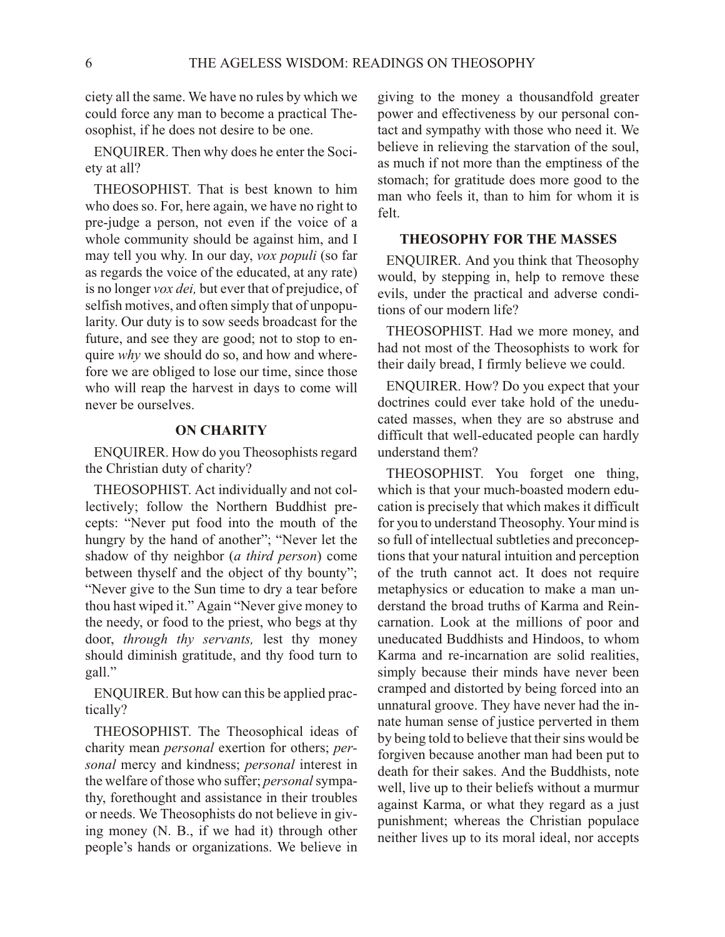ciety all the same. We have no rules by which we could force any man to become a practical Theosophist, if he does not desire to be one.

ENQUIRER. Then why does he enter the Society at all?

THEOSOPHIST. That is best known to him who does so. For, here again, we have no right to pre-judge a person, not even if the voice of a whole community should be against him, and I may tell you why. In our day, *vox populi* (so far as regards the voice of the educated, at any rate) is no longer *vox dei*, but ever that of prejudice, of selfish motives, and often simply that of unpopularity. Our duty is to sow seeds broadcast for the future, and see they are good; not to stop to enquire *why* we should do so, and how and wherefore we are obliged to lose our time, since those who will reap the harvest in days to come will never be ourselves.

# **ON CHARITY**

ENQUIRER. How do you Theosophists regard the Christian duty of charity?

THEOSOPHIST. Act individually and not collectively; follow the Northern Buddhist precepts: "Never put food into the mouth of the hungry by the hand of another"; "Never let the shadow of thy neighbor (*a third person*) come between thy self and the object of thy bounty"; "Never give to the Sun time to dry a tear before thou hast wiped it." Again "Never give money to the needy, or food to the priest, who begs at thy door, *through thy servants*, lest thy money should diminish gratitude, and thy food turn to gall."

ENQUIRER. But how can this be applied practically?

THEOSOPHIST. The Theosophical ideas of charity mean *personal* exertion for others; *personal* mercy and kindness; *personal* interest in the welfare of those who suffer; *personal* sympathy, fore thought and assistance in their troubles or needs. We Theosophists do not believe in giving money (N. B., if we had it) through other people's hands or organizations. We believe in

giving to the money a thousandfold greater power and effectiveness by our personal contact and sympathy with those who need it. We believe in relieving the starvation of the soul, as much if not more than the emptiness of the stomach; for gratitude does more good to the man who feels it, than to him for whom it is felt.

#### **THEOSOPHY FOR THE MASSES**

ENQUIRER. And you think that Theosophy would, by stepping in, help to remove these evils, under the practical and adverse conditions of our modern life?

THEOSOPHIST. Had we more money, and had not most of the Theosophists to work for their daily bread, I firmly believe we could.

ENQUIRER. How? Do you ex pect that your doctrines could ever take hold of the uneducated masses, when they are so abstruse and difficult that well-educated people can hardly understand them?

THEOSOPHIST. You forget one thing, which is that your much-boasted modern education is precisely that which makes it difficult for you to understand Theosophy. Your mind is so full of intellectual subtleties and preconceptions that your natural intuition and perception of the truth cannot act. It does not require meta physics or education to make a man understand the broad truths of Karma and Reincarnation. Look at the millions of poor and uneducated Buddhists and Hindoos, to whom Karma and re-incarnation are solid realities, simply because their minds have never been cramped and distorted by being forced into an unnatural groove. They have never had the innate human sense of justice perverted in them by be ing told to believe that their sins would be forgiven because another man had been put to death for their sakes. And the Buddhists, note well, live up to their beliefs without a murmur against Karma, or what they regard as a just punishment; whereas the Christian populace neither lives up to its moral ideal, nor accepts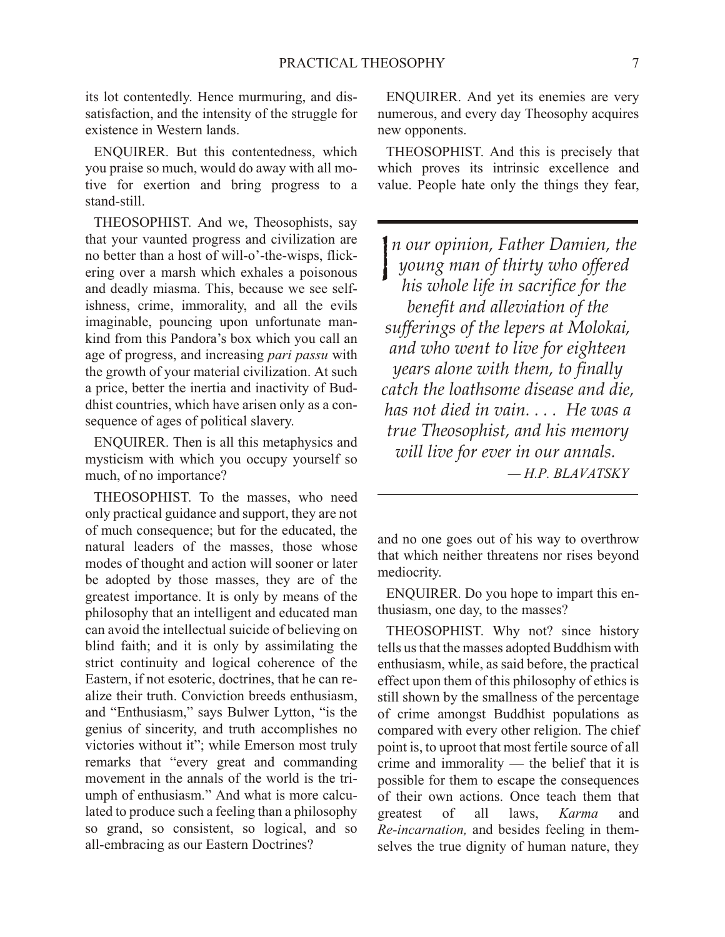its lot contentedly. Hence murmuring, and dissatisfaction, and the intensity of the struggle for existence in Western lands.

ENQUIRER. But this contentedness, which you praise so much, would do away with all motive for exertion and bring progress to a stand-still.

THEOSOPHIST. And we, Theosophists, say that your vaunted progress and civilization are no better than a host of will-o'-the-wisps, flick ering over a marsh which exhales a poisonous and deadly miasma. This, because we see selfishness, crime, immorality, and all the evils imaginable, pouncing upon unfortunate mankind from this Pandora's box which you call an age of progress, and increasing *pari passu* with the growth of your material civilization. At such a price, better the inertia and inactivity of Buddhist countries, which have arisen only as a consequence of ages of political slavery.

ENQUIRER. Then is all this metaphysics and mysticism with which you occupy yourself so much, of no importance?

THEOSOPHIST. To the masses, who need only practical guidance and support, they are not of much consequence; but for the educated, the natural leaders of the masses, those whose modes of thought and action will sooner or later be adopted by those masses, they are of the greatest importance. It is only by means of the philosophy that an intelligent and educated man can avoid the intellectual suicide of believing on blind faith; and it is only by assimilating the strict continuity and logical coherence of the Eastern, if not esoteric, doctrines, that he can realize their truth. Conviction breeds enthusiasm, and "Enthusiasm," says Bulwer Lytton, "is the genius of sincerity, and truth accomplishes no victories without it"; while Emerson most truly remarks that "every great and commanding movement in the annals of the world is the triumph of enthusiasm." And what is more calculated to produce such a feeling than a philosophy so grand, so consistent, so logical, and so all-embracing as our Eastern Doctrines?

ENQUIRER. And yet its enemies are very numerous, and every day Theosophy acquires new opponents.

THEOSOPHIST. And this is precisely that which proves its intrinsic excellence and value. People hate only the things they fear,

I *n our opin ion, Fa ther Damien, the young man of thirty who offered his whole life in sacrifice for the benefit and alleviation of the suf fer ings of the lep ers at Molokai, and who went to live for eigh teen years alone with them, to finally catch the loath some disease and die, has not died in vain. . . . He was a true The os o phist, and his mem ory will live for ever in our an nals. — H.P. BLAVATSKY*

and no one goes out of his way to overthrow that which neither threatens nor rises beyond mediocrity.

ENQUIRER. Do you hope to impart this enthusiasm, one day, to the masses?

THEOSOPHIST. Why not? since history tells us that the masses adopted Buddhism with enthusiasm, while, as said before, the practical effect upon them of this philosophy of ethics is still shown by the smallness of the percentage of crime amongst Buddhist populations as compared with every other religion. The chief point is, to uproot that most fertile source of all crime and immorality  $-$  the belief that it is possible for them to escape the consequences of their own actions. Once teach them that greatest of all laws, *Karma* and *Re-incarnation*, and besides feeling in themselves the true dignity of human nature, they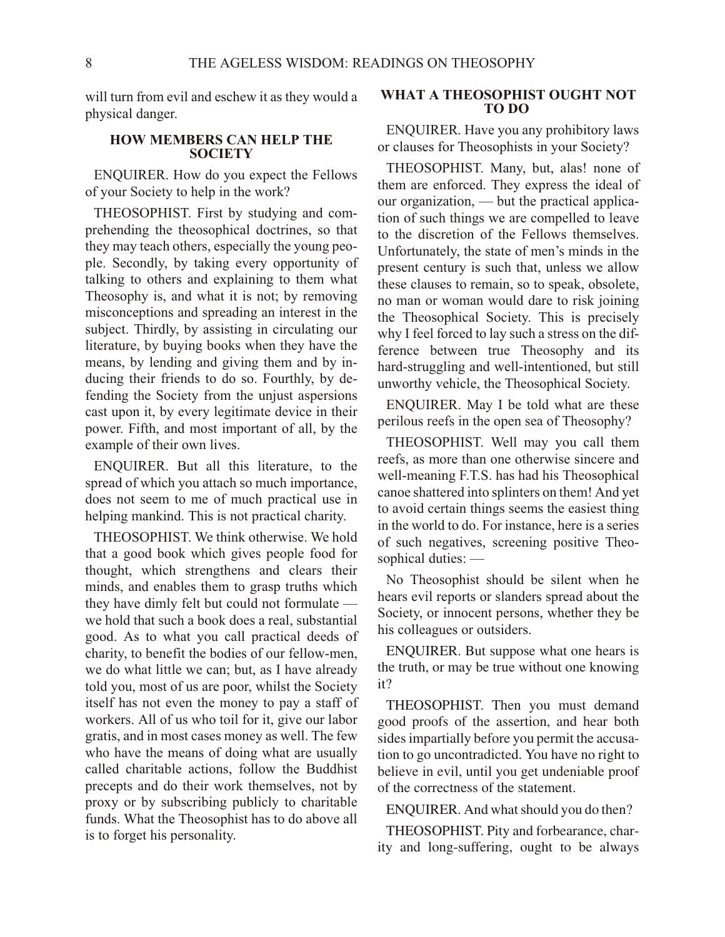will turn from evil and eschew it as they would a physical danger.

## **HOW MEMBERS CAN HELP THE SOCIETY**

ENQUIRER. How do you expect the Fellows of your Society to help in the work?

THEOSOPHIST. First by studying and comprehending the theosophical doctrines, so that they may teach others, especially the young people. Secondly, by taking every opportunity of talking to others and explaining to them what Theosophy is, and what it is not; by removing misconceptions and spreading an interest in the subject. Thirdly, by assisting in circulating our literature, by buying books when they have the means, by lending and giving them and by inducing their friends to do so. Fourthly, by defending the Society from the unjust aspersions cast upon it, by every legitimate device in their power. Fifth, and most important of all, by the example of their own lives.

ENQUIRER. But all this literature, to the spread of which you attach so much importance, does not seem to me of much practical use in helping mankind. This is not practical charity.

THEOSOPHIST. We think otherwise. We hold that a good book which gives people food for thought, which strengthens and clears their minds, and enables them to grasp truths which they have dimly felt but could not formulate  $$ we hold that such a book does a real, substantial good. As to what you call practical deeds of charity, to benefit the bodies of our fellow-men, we do what little we can; but, as I have already told you, most of us are poor, whilst the Society it self has not even the money to pay a staff of workers. All of us who toil for it, give our labor gratis, and in most cases money as well. The few who have the means of doing what are usually called charitable actions, follow the Buddhist precepts and do their work themselves, not by proxy or by subscribing publicly to charitable funds. What the Theosophist has to do above all is to forget his personality.

## **WHAT A THEOSOPHIST OUGHT NOT TO DO**

ENQUIRER. Have you any prohibitory laws or clauses for Theosophists in your Society?

THEOSOPHIST. Many, but, alas! none of them are enforced. They express the ideal of our organization,  $-$  but the practical application of such things we are compelled to leave to the discretion of the Fellows themselves. Unfortunately, the state of men's minds in the present century is such that, unless we allow these clauses to remain, so to speak, obsolete, no man or woman would dare to risk joining the Theosophical Society. This is precisely why I feel forced to lay such a stress on the difference between true Theosophy and its hard-struggling and well-intentioned, but still unworthy vehicle, the Theosophical Society.

ENQUIRER. May I be told what are these per ilous reefs in the open sea of The osophy?

THEOSOPHIST. Well may you call them reefs, as more than one otherwise sincere and well-meaning F.T.S. has had his Theosophical canoe shattered into splinters on them! And yet to avoid certain things seems the easiest thing in the world to do. For instance, here is a series of such negatives, screening positive Theosophical duties: -

No Theosophist should be silent when he hears evil reports or slanders spread about the Society, or innocent persons, whether they be his colleagues or outsiders.

ENQUIRER. But suppose what one hears is the truth, or may be true without one knowing it?

THEOSOPHIST. Then you must demand good proofs of the assertion, and hear both sides impartially before you permit the accusation to go uncontradicted. You have no right to believe in evil, until you get undeniable proof of the correctness of the statement.

ENQUIRER. And what should you do then?

THEOSOPHIST. Pity and forbearance, charity and long-suffering, ought to be always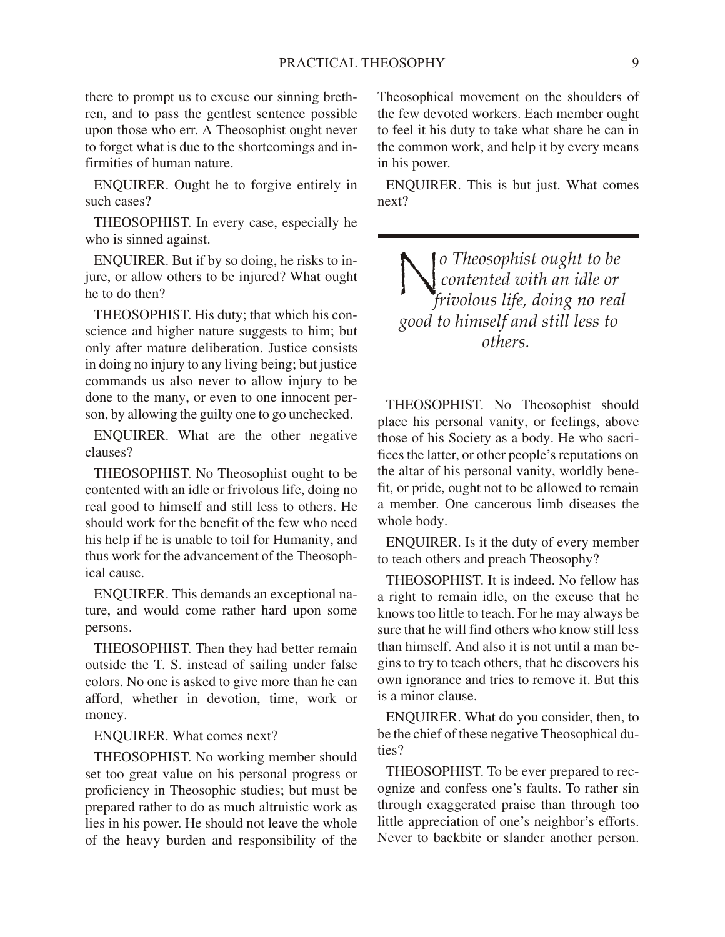there to prompt us to excuse our sinning brethren, and to pass the gentlest sentence possible upon those who err. A Theosophist ought never to forget what is due to the shortcomings and infirmities of human nature.

ENQUIRER. Ought he to forgive entirely in such cases?

THEOSOPHIST. In every case, especially he who is sinned against.

ENQUIRER. But if by so doing, he risks to injure, or allow others to be injured? What ought he to do then?

THEOSOPHIST. His duty; that which his conscience and higher nature suggests to him; but only after mature deliberation. Justice consists in doing no injury to any living being; but justice commands us also never to allow injury to be done to the many, or even to one innocent person, by allowing the guilty one to go unchecked.

ENQUIRER. What are the other negative clauses?

THEOSOPHIST. No Theosophist ought to be contented with an idle or frivolous life, doing no real good to him self and still less to others. He should work for the benefit of the few who need his help if he is unable to toil for Humanity, and thus work for the advancement of the Theosophical cause.

ENQUIRER. This demands an exceptional nature, and would come rather hard upon some persons.

THEOSOPHIST. Then they had better remain outside the T. S. instead of sailing under false colors. No one is asked to give more than he can afford, whether in devotion, time, work or money.

ENQUIRER. What comes next?

THEOSOPHIST. No working member should set too great value on his personal progress or proficiency in Theosophic studies; but must be prepared rather to do as much altruistic work as lies in his power. He should not leave the whole of the heavy burden and responsibility of the Theosophical movement on the shoulders of the few devoted workers. Each member ought to feel it his duty to take what share he can in the common work, and help it by every means in his power.

ENQUIRER. This is but just. What comes next?

**N** *o* Theosophist ought to be<br>contented with an idle or<br>frivolous life doing no rea *con tented with an idle or friv o lous life, do ing no real good to him self and still less to oth ers.* 

THEOSOPHIST. No Theosophist should place his personal vanity, or feelings, above those of his Society as a body. He who sacrifices the latter, or other people's reputations on the altar of his personal vanity, worldly benefit, or pride, ought not to be allowed to remain a member. One cancerous limb diseases the whole body.

ENQUIRER. Is it the duty of every member to teach others and preach Theosophy?

THEOSOPHIST. It is indeed. No fellow has a right to remain idle, on the excuse that he knows too little to teach. For he may always be sure that he will find others who know still less than himself. And also it is not until a man begins to try to teach others, that he discovers his own ignorance and tries to remove it. But this is a minor clause.

ENQUIRER. What do you consider, then, to be the chief of these negative Theosophical duties?

THEOSOPHIST. To be ever prepared to recognize and confess one's faults. To rather sin through exaggerated praise than through too little appreciation of one's neighbor's efforts. Never to backbite or slander another person.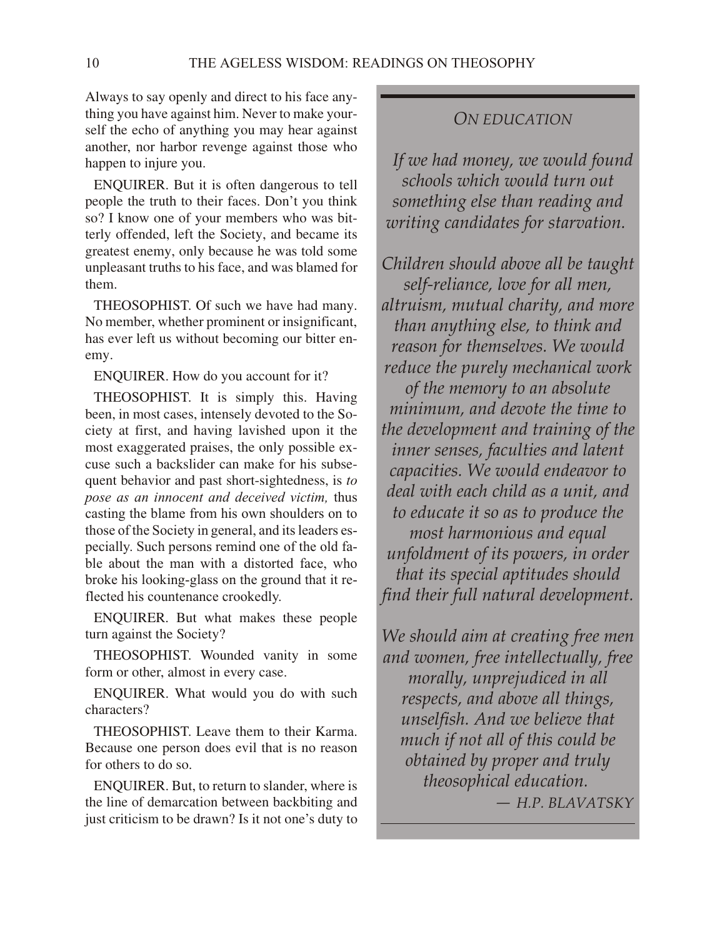Always to say openly and direct to his face anything you have against him. Never to make your self the echo of anything you may hear against another, nor harbor revenge against those who happen to injure you.

ENQUIRER. But it is often dangerous to tell people the truth to their faces. Don't you think so? I know one of your members who was bitterly offended, left the Society, and became its greatest enemy, only because he was told some unpleasant truths to his face, and was blamed for them.

THEOSOPHIST. Of such we have had many. No member, whether prominent or insignificant, has ever left us without becoming our bitter enemy.

ENQUIRER. How do you account for it?

THEOSOPHIST. It is simply this. Having been, in most cases, intensely devoted to the Society at first, and having lavished upon it the most exaggerated praises, the only possible excuse such a backslider can make for his subsequent behavior and past short-sightedness, is *to pose as an innocent and deceived victim, thus* casting the blame from his own shoulders on to those of the Society in general, and its leaders especially. Such persons remind one of the old fable about the man with a distorted face, who broke his looking-glass on the ground that it reflected his countenance crookedly.

ENQUIRER. But what makes these people turn against the Society?

THEOSOPHIST. Wounded vanity in some form or other, almost in every case.

ENQUIRER. What would you do with such characters?

THEOSOPHIST. Leave them to their Karma. Because one person does evil that is no reason for others to do so.

ENQUIRER. But, to return to slander, where is the line of demarcation between backbiting and just criticism to be drawn? Is it not one's duty to

# *ON ED U CA TION*

*If we had money, we would found schools which would turn out something else than reading and writ ing can di dates for star va tion.* 

*Children should above all be taught self-reliance, love for all men, al tru ism, mu tual char ity, and more than any thing else, to think and rea son for them selves. We would re duce the purely me chan i cal work of the memory to an absolute minimum, and devote the time to the de vel op ment and train ing of the in ner senses, facul ties and la tent ca pac i ties. We would endeavor to deal with each child as a unit, and to ed u cate it so as to pro duce the most harmonious and equal unfoldment of its powers, in order that its spe cial ap ti tudes should find their full natural development.* 

*We should aim at creating free men and women, free in tel lec tu ally, free mor ally, un prej u diced in all re spects, and above all things, un self ish. And we be lieve that much if not all of this could be ob tained by proper and truly*  $the *osophical education*$ .  *— H.P. BLAVATSKY*